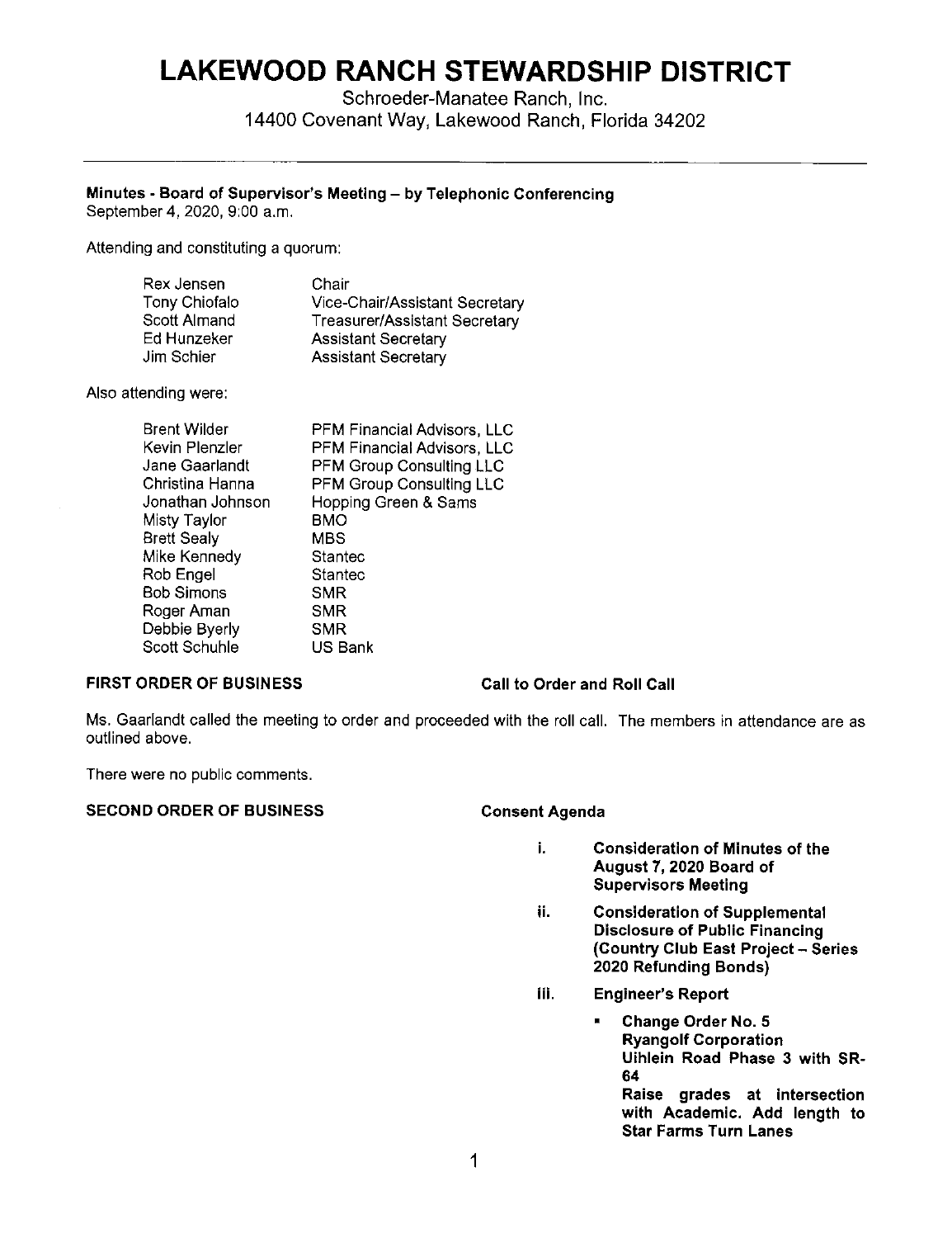# **LAKEWOOD RANCH STEWARDSHIP DISTRICT**

Schroeder-Manatee Ranch, Inc. 14400 Covenant Way, Lakewood Ranch, Florida 34202

## **Minutes - Board of Supervisor's Meeting - by Telephonic Conferencing**

September **4,** 2020, 9:00 a.m.

Attending and constituting a quorum:

| Rex Jensen           | Chair                          |
|----------------------|--------------------------------|
| <b>Tony Chiofalo</b> | Vice-Chair/Assistant Secretary |
| Scott Almand         | Treasurer/Assistant Secretary  |
| Ed Hunzeker          | <b>Assistant Secretary</b>     |
| Jim Schier           | <b>Assistant Secretary</b>     |

Also attending were:

| Brent Wilder       | PFM Financial Advisors, LLC |
|--------------------|-----------------------------|
| Kevin Plenzler     | PFM Financial Advisors, LLC |
| Jane Gaarlandt     | PFM Group Consulting LLC    |
| Christina Hanna    | PFM Group Consulting LLC    |
| Jonathan Johnson   | Hopping Green & Sams        |
| Misty Taylor       | BMO                         |
| <b>Brett Sealy</b> | <b>MBS</b>                  |
| Mike Kennedy       | Stantec                     |
| Rob Engel          | Stantec                     |
| Bob Simons         | <b>SMR</b>                  |
| Roger Aman         | <b>SMR</b>                  |
| Debbie Byerly      | <b>SMR</b>                  |
| Scott Schuhle      | US Bank                     |
|                    |                             |

### **FIRST ORDER OF BUSINESS**

### **Call to Order and Roll Call**

Ms. Gaarlandt called the meeting to order and proceeded with the roll call. The members in attendance are as outlined above.

There were no public comments.

### SECOND ORDER OF BUSINESS Consent Agenda

- **i. Consideration of Minutes of the August 7, 2020 Board of Supervisors Meeting**
- **ii. Consideration of Supplemental Disclosure of Public Financing (Country Club East Project - Series 2020 Refunding Bonds)**
- **iii. Engineer's Report** 
	- **Change Order No. 5 Ryangolf Corporation Uihlein Road Phase 3 with SR-64 Raise grades at intersection with Academic. Add length to Star Farms Turn Lanes**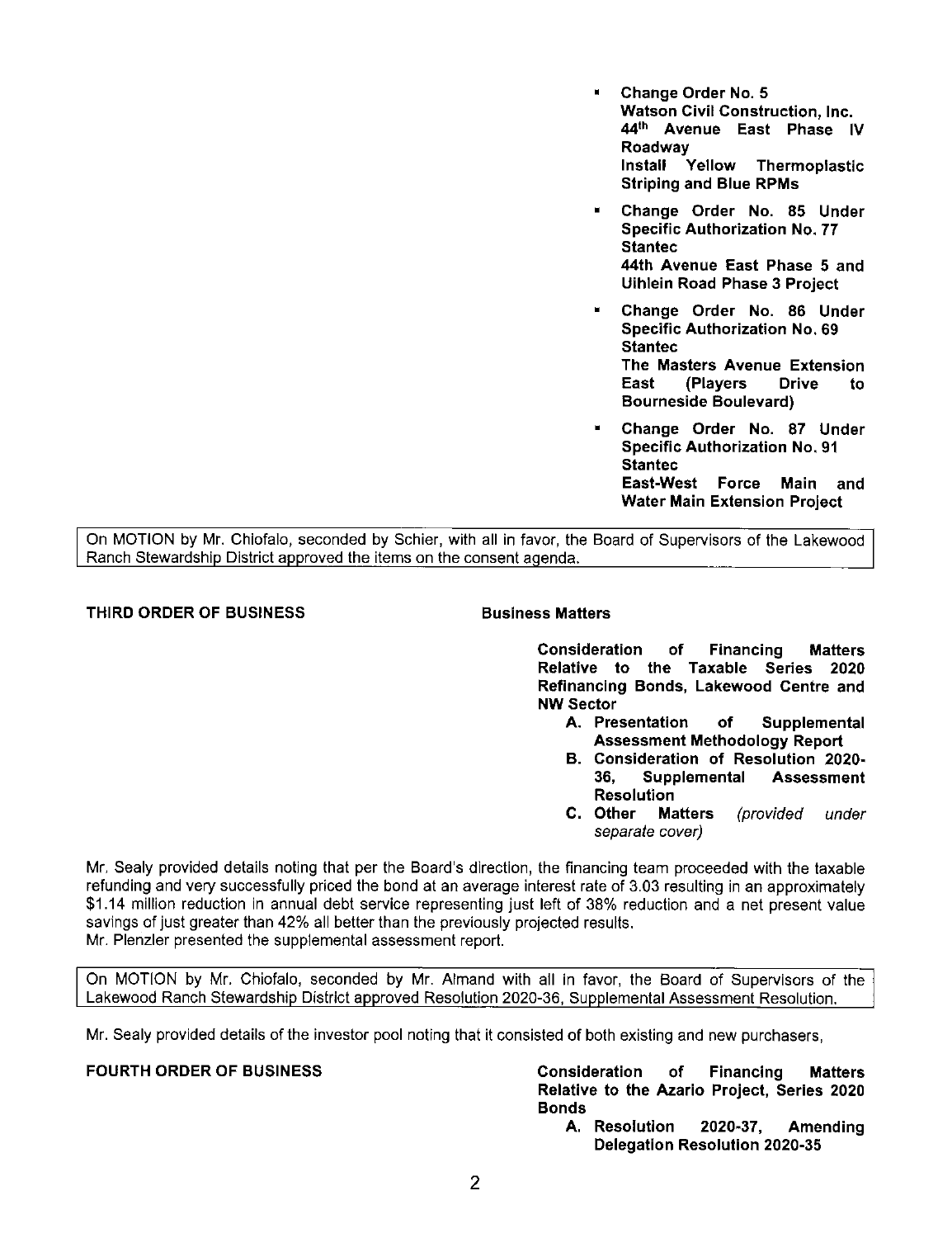- **Change Order No. 5 Watson Civil Construction, Inc. 44th Avenue East Phase IV Roadway Install Yellow Thermoplastic Striping and Blue RPMs**
- **Change Order No. 85 Under Specific Authorization No. 77 Staniec 44th Avenue East Phase 5 and Uihlein Road Phase 3 Project**
- **Change Order No. 86 Under Specific Authorization No. 69 Staniec The Masters Avenue Extension East (Players Drive to Bourneside Boulevard)**
- **Change Order No. 87 Under Specific Authorization No. 91 Staniec East-West Force Main and Water Main Extension Project**

On MOTION by Mr. Chiofalo, seconded by Schier, with all in favor, the Board of Supervisors of the Lakewood Ranch Stewardship District approved the items on the consent agenda.

### **THIRD ORDER OF BUSINESS Business Matters**

**Consideration of Financing Matters Relative to the Taxable Series 2020 Refinancing Bonds, Lakewood Centre and NW Sector** 

- **A. Presentation of Supplemental Assessment Methodology Report**
- **B. Consideration of Resolution 2020- 36, Supplemental Assessment Resolution**
- **C. Other Matters** (provided under separate cover)

Mr. Sealy provided details noting that per the Board's direction, the financing team proceeded with the taxable refunding and very successfully priced the bond at an average interest rate of 3.03 resulting in an approximately \$1.14 million reduction in annual debt service representing just left of 38% reduction and a net present value savings of just greater than 42% all better than the previously projected results. Mr. Plenzler presented the supplemental assessment report.

On MOTION by Mr. Chiofalo, seconded by Mr. Almand with all in favor, the Board of Supervisors of the Lakewood Ranch Stewardship District approved Resolution 2020-36, Supplemental Assessment Resolution.

Mr. Sealy provided details of the investor pool noting that it consisted of both existing and new purchasers,

**FOURTH ORDER OF BUSINESS Consideration of Financing Matters Relative to the Azario Project, Series 2020 Bonds** 

**A. Resolution 2020-37, Amending Delegation Resolution 2020-35**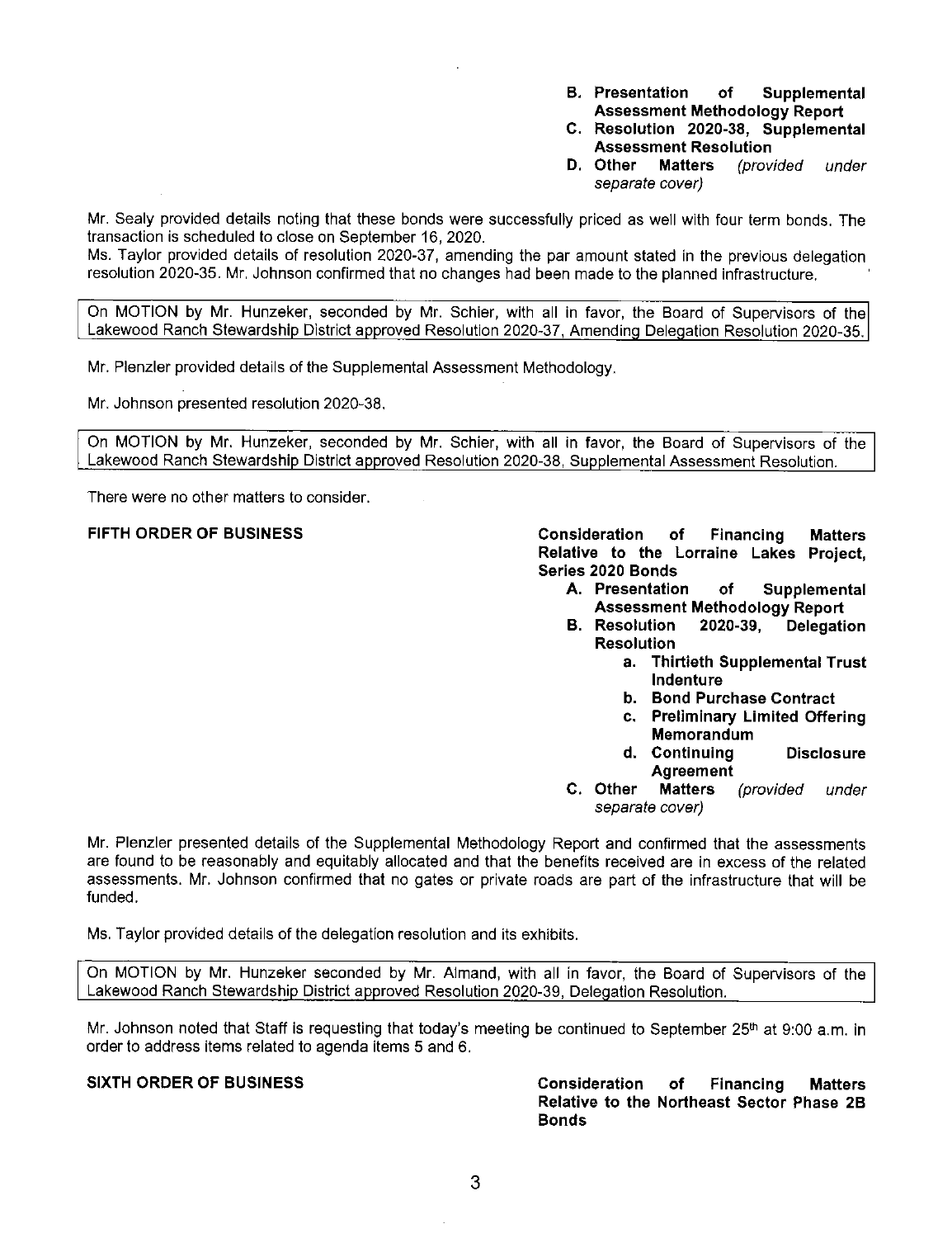- **B. Presentation of Supplemental Assessment Methodology Report**
- **C. Resolution 2020-38, Supplemental Assessment Resolution**
- **D. Other Matters** (provided under separate cover)

Mr. Sealy provided details noting that these bonds were successfully priced as well with four term bonds. The transaction is scheduled to close on September 16, 2020.

Ms. Taylor provided details of resolution 2020-37, amending the par amount stated in the previous delegation resolution 2020-35. Mr. Johnson confirmed that no changes had been made to the planned infrastructure.

On MOTION by **Mr.** Hunzeker, seconded by Mr. Schier, with all in favor, the Board of Supervisors of the Lakewood Ranch Stewardship District approved Resolution 2020-37, Amending Delegation Resolution 2020-35.

Mr. Plenzler provided details of the Supplemental Assessment Methodology.

Mr. Johnson presented resolution 2020-38.

On MOTION by Mr. Hunzeker, seconded by Mr. Schier, with all in favor, the Board of Supervisors of the Lakewood Ranch Stewardship District approved Resolution 2020-38, Supplemental Assessment Resolution.

There were no other matters to consider.

**FIFTH ORDER OF BUSINESS Consideration of Financing Matters Relative to the Lorraine Lakes Project, Series 2020 Bonds** 

- **A. Presentation of Supplemental Assessment Methodology Report**
- **B. Resolution 2020-39, Delegation Resolution** 
	- **a. Thirtieth Supplemental Trust Indenture**
	- **b. Bond Purchase Contract**
	- **c. Preliminary Limited Offering Memorandum**
	- **d. Continuing Disclosure Agreement**
- **C. Other Matters** (provided under separate cover)

**Mr.** Plenzler presented details of the Supplemental Methodology Report and confirmed that the assessments are found to be reasonably and equitably allocated and that the benefits received are in excess of the related assessments. Mr. Johnson confirmed that no gates or private roads are part of the infrastructure that will be funded.

Ms. Taylor provided details of the delegation resolution and its exhibits.

On MOTION by Mr. Hunzeker seconded by **Mr.** Almand, with all in favor, the Board of Supervisors of the Lakewood Ranch Stewardship District approved Resolution 2020-39, Delegation Resolution.

Mr. Johnson noted that Staff is requesting that today's meeting be continued to September 25<sup>th</sup> at 9:00 a.m. in order to address items related to agenda items 5 and 6.

**SIXTH ORDER OF BUSINESS Consideration of Financing Matters Relative to the Northeast Sector Phase 2B Bonds**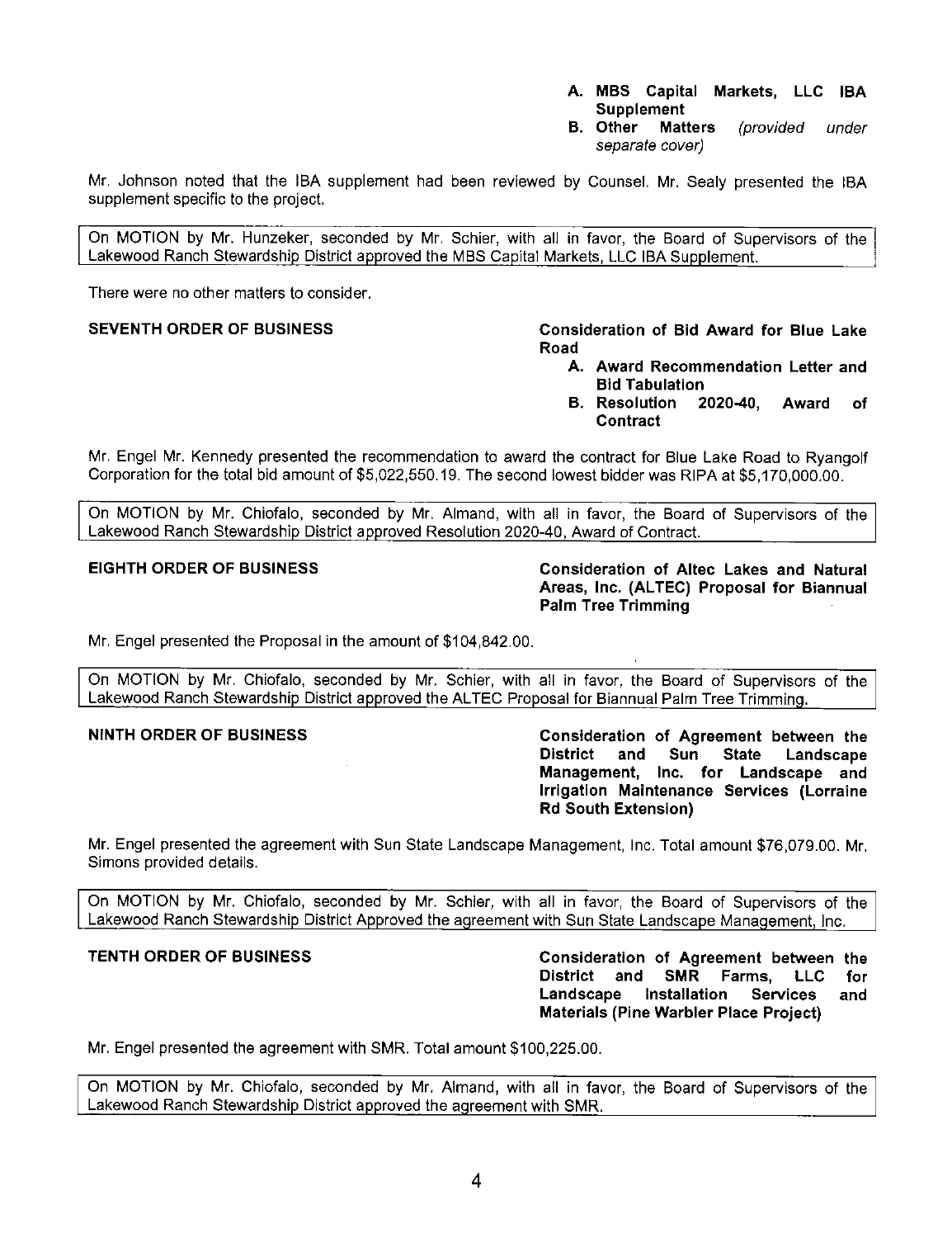- **A. MBS Capital Markets, LLC IBA Supplement**
- **B. Other Matters** (provided under separate cover)

Mr. Johnson noted that the IBA supplement had been reviewed by Counsel. Mr. Sealy presented the IBA supplement specific to the project.

On MOTION by Mr. Hunzeker, seconded by Mr. Schier, with all in favor, the Board of Supervisors of the Lakewood Ranch Stewardship District approved the MBS Capital Markets, LLC IBA Supplement.

There were no other matters to consider.

### **SEVENTH ORDER OF BUSINESS Consideration of Bid Award for Blue Lake Road**

- **A. Award Recommendation Letter and Bid Tabulation**
- **B. Resolution 2020-40, Award of Contract**

Mr. Engel Mr. Kennedy presented the recommendation to award the contract for Blue Lake Road to Ryangolf Corporation for the total bid amount of \$[5,022,550.19](https://5,022,550.19). The second lowest bidder was RIPA at [\\$5,170,000.00.](https://5,170,000.00)

On MOTION by Mr. Chiofalo, seconded by Mr. Almand, with all in favor, the Board of Supervisors of the Lakewood Ranch Stewardship District approved Resolution 2020-40, Award of Contract.

**EIGHTH ORDER OF BUSINESS Consideration of Altec Lakes and Natural Areas, Inc. (AL TEC) Proposal for Biannual Palm Tree Trimming** 

Mr. Engel presented the Proposal in the amount of \$[104,842.00.](https://104,842.00)

On MOTION by Mr. Chiofalo, seconded by Mr. Schier, with all in favor, the Board of Supervisors of the Lakewood Ranch Stewardship District approved the ALTEC Proposal for Biannual Palm Tree Trimming.

**NINTH ORDER OF BUSINESS Consideration of Agreement between the District and Sun State Landscape Management, Inc. for Landscape and Irrigation Maintenance Services (Lorraine Rd South Extension)** 

Mr. Engel presented the agreement with Sun State Landscape Management, Inc. Total amount [\\$76,079.00](https://76,079.00). Mr. Simons provided details.

On MOTION by Mr. Chiofalo, seconded by Mr. Schier, with all in favor, the Board of Supervisors of the Lakewood Ranch Stewardship District Approved the agreement with Sun State Landscape Management, Inc.

**TENTH ORDER OF BUSINESS Consideration of Agreement between the District and SMR Farms, LLC for Landscape Installation Services and Materials (Pine Warbler Place Project)** 

Mr. Engel presented the agreement with SMR. Total amount \$[100,225.00](https://100,225.00).

On MOTION by Mr. Chiofalo, seconded by Mr. Almand, with all in favor, the Board of Supervisors of the Lakewood Ranch Stewardship District approved the agreement with SMR.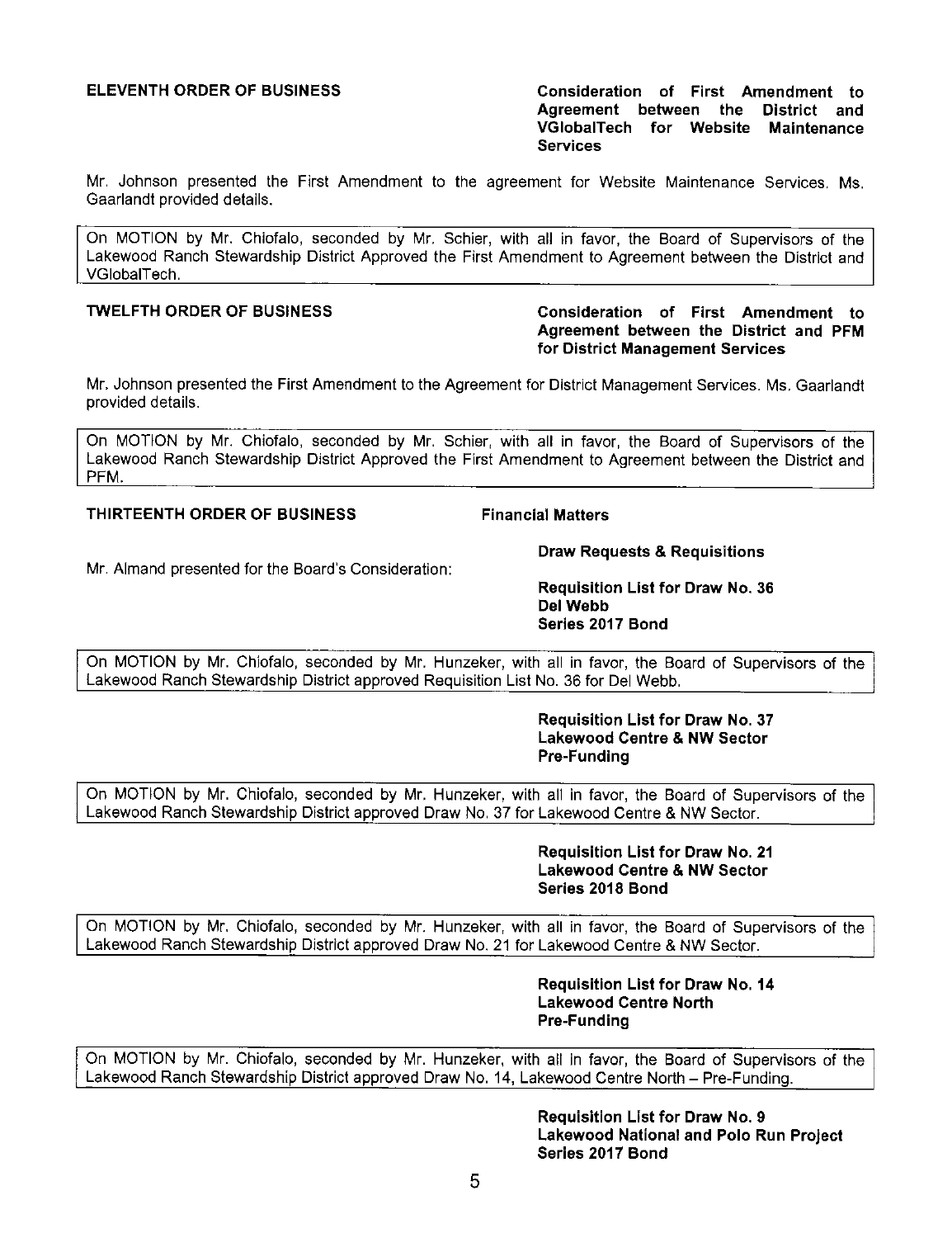**ELEVENTH ORDER OF BUSINESS Consideration of First Amendment to Agreement between the District and VGlobalTech for Website Maintena nce Services** 

Mr. Johnson presented the First Amendment to the agreement for Website Maintenance Services. Ms. Gaarlandt provided details.

On MOTION by Mr. Chiofalo, seconded by Mr. Schier, with all in favor, the Board of Supervisors of the Lakewood Ranch Stewardship District Approved the First Amendment to Agreement between the District and VGlobalTech.

### **TWELFTH ORDER OF BUSINESS Consideration of First Amendment to Agreement between the District and PFM for District Management Services**

Mr. Johnson presented the First Amendment to the Agreement for District Management Services. Ms. Gaarlandt provided details.

On MOTION by Mr. Chiofalo, seconded by Mr. Schier, with all in favor, the Board of Supervisors of the Lakewood Ranch Stewardship District Approved the First Amendment to Agreement between the District and PFM.

### **THIRTEENTH ORDER OF BUSINESS Financial Matters**

Mr. Almand presented for the Board's Consideration:

**Draw Requests & Requisitions** 

**Requisition List for Draw No. 36 Del Webb Series 2017 Bond** 

On MOTION by Mr. Chiofalo, seconded by Mr. Hunzeker, with all in favor, the Board of Supervisors of the Lakewood Ranch Stewardship District approved Requisition List No. 36 for Del Webb.

> **Requisition List for Draw No. 37 Lakewood Centre & NW Sector Pre-Funding**

On MOTION by Mr. Chiofalo, seconded by Mr. Hunzeker, with all in favor, the Board of Supervisors of the Lakewood Ranch Stewardship District approved Draw No. 37 for Lakewood Centre & NW Sector.

> **Requisition List for Draw No. 21 Lakewood Centre & NW Sector Series 2018 Bond**

On MOTION by Mr. Chiofalo, seconded by Mr. Hunzeker, with all in favor, the Board of Supervisors of the Lakewood Ranch Stewardship District approved Draw No. 21 for Lakewood Centre & **NW** Sector.

> **Requisition List for Draw No. 14 Lakewood Centre North Pre-Funding**

On MOTION by Mr. Chiofalo, seconded by Mr. Hunzeker, with all in favor, the Board of Supervisors of the Lakewood Ranch Stewardship District approved Draw No. 14, Lakewood Centre North - Pre-Funding.

> **Requisition List for Draw No. 9 Lakewood National and Polo Run Project Series 2017 Bond**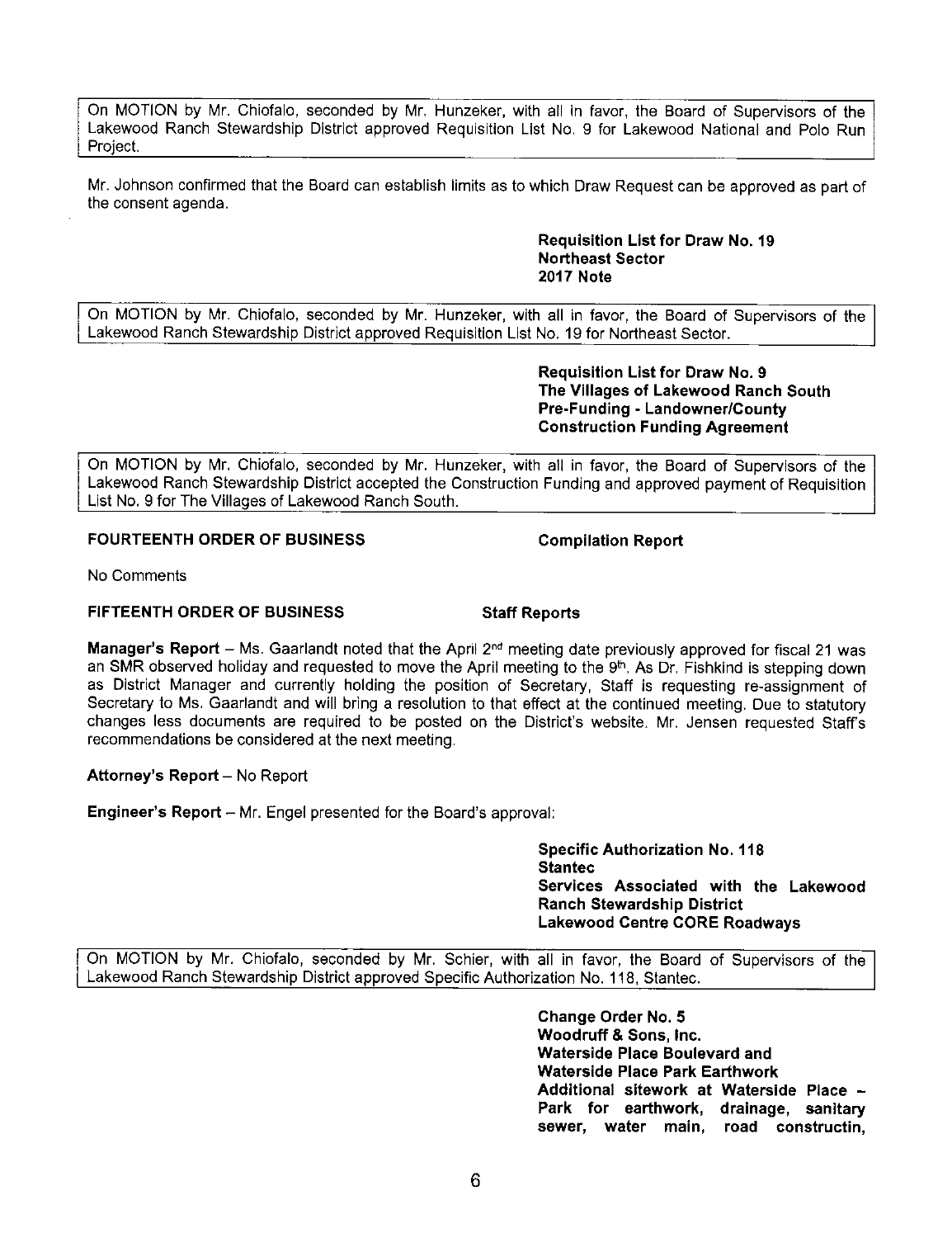On MOTION by Mr. Chiofalo, seconded by Mr. Hunzeker, with all in favor, the Board of Supervisors of the Lakewood Ranch Stewardship District approved Requisition List No. 9 for Lakewood National and Polo Run Project.

Mr. Johnson confirmed that the Board can establish limits as to which Draw Request can be approved as part of the consent agenda.

> **Requisition List for Draw No. 19 Northeast Sector 2017 Note**

On MOTION by Mr. Chiofalo, seconded by Mr. Hunzeker, with all in favor, the Board of Supervisors of the Lakewood Ranch Stewardship District approved Requisition List No. 19 for Northeast Sector.

> **Requisition List for Draw No. 9 The Villages of Lakewood Ranch South Pre-Funding - Landowner/County Construction Funding Agreement**

On MOTION by Mr. Chiofalo, seconded by Mr. Hunzeker, with all in favor, the Board of Supervisors of the Lakewood Ranch Stewardship District accepted the Construction Funding and approved payment of Requisition List No. 9 for The Villages of Lakewood Ranch South.

### **FOURTEENTH ORDER OF BUSINESS Compilation Report**

No Comments

### **FIFTEENTH ORDER OF BUSINESS Staff Reports**

**Manager's Report** - Ms. Gaarlandt noted that the April 2°d meeting date previously approved for fiscal 21 was an SMR observed holiday and requested to move the April meeting to the 9<sup>th</sup>. As Dr. Fishkind is stepping down as District Manager and currently holding the position of Secretary, Staff is requesting re-assignment of Secretary to Ms. Gaarlandt and will bring a resolution to that effect at the continued meeting. Due to statutory changes less documents are required to be posted on the District's website. Mr. Jensen requested Staffs recommendations be considered at the next meeting.

### **Attorney's Report - No Report**

**Engineer's Report** - Mr. Engel presented for the Board's approval:

**Specific Authorization No. 118 Staniec Services Associated with the Lakewood Ranch Stewardship District Lakewood Centre CORE Roadways** 

On MOTION by Mr. Chiofalo, seconded by Mr. Schier, with all in favor, the Board of Supervisors of the Lakewood Ranch Stewardship District approved Specific Authorization No. 118, Stantec.

> **Change Order No. 5 Woodruff & Sons, Inc. Waterside Place Boulevard and Waterside Place Park Earthwork Additional sitework at Waterside Place** - **Park for earthwork, drainage, sanitary sewer, water main, road constructin,**